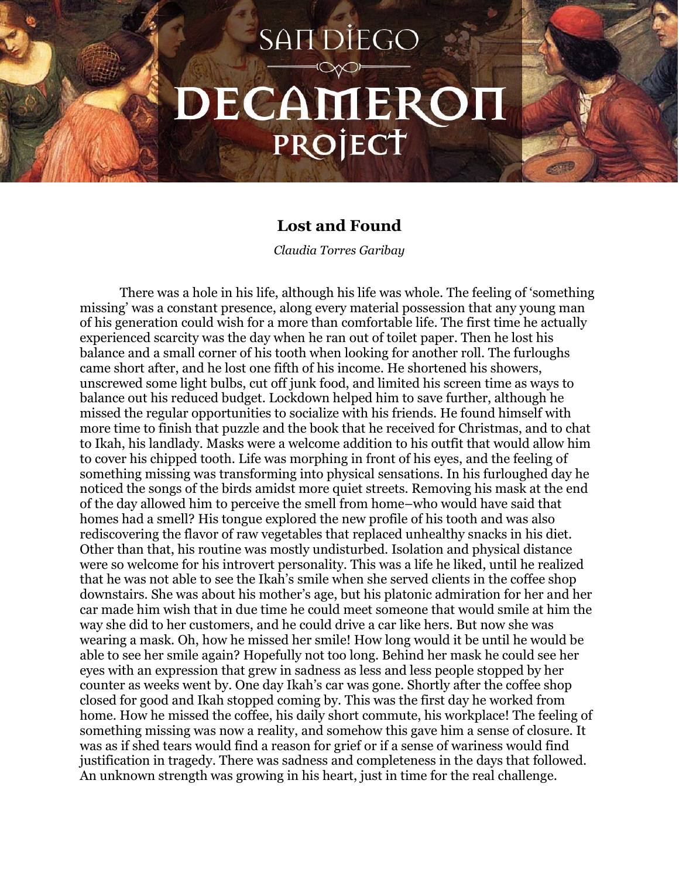## **SANDIEGO** DECAMERON PROJECT

## **Lost and Found**

*Claudia Torres Garibay*

There was a hole in his life, although his life was whole. The feeling of 'something missing' was a constant presence, along every material possession that any young man of his generation could wish for a more than comfortable life. The first time he actually experienced scarcity was the day when he ran out of toilet paper. Then he lost his balance and a small corner of his tooth when looking for another roll. The furloughs came short after, and he lost one fifth of his income. He shortened his showers, unscrewed some light bulbs, cut off junk food, and limited his screen time as ways to balance out his reduced budget. Lockdown helped him to save further, although he missed the regular opportunities to socialize with his friends. He found himself with more time to finish that puzzle and the book that he received for Christmas, and to chat to Ikah, his landlady. Masks were a welcome addition to his outfit that would allow him to cover his chipped tooth. Life was morphing in front of his eyes, and the feeling of something missing was transforming into physical sensations. In his furloughed day he noticed the songs of the birds amidst more quiet streets. Removing his mask at the end of the day allowed him to perceive the smell from home–who would have said that homes had a smell? His tongue explored the new profile of his tooth and was also rediscovering the flavor of raw vegetables that replaced unhealthy snacks in his diet. Other than that, his routine was mostly undisturbed. Isolation and physical distance were so welcome for his introvert personality. This was a life he liked, until he realized that he was not able to see the Ikah's smile when she served clients in the coffee shop downstairs. She was about his mother's age, but his platonic admiration for her and her car made him wish that in due time he could meet someone that would smile at him the way she did to her customers, and he could drive a car like hers. But now she was wearing a mask. Oh, how he missed her smile! How long would it be until he would be able to see her smile again? Hopefully not too long. Behind her mask he could see her eyes with an expression that grew in sadness as less and less people stopped by her counter as weeks went by. One day Ikah's car was gone. Shortly after the coffee shop closed for good and Ikah stopped coming by. This was the first day he worked from home. How he missed the coffee, his daily short commute, his workplace! The feeling of something missing was now a reality, and somehow this gave him a sense of closure. It was as if shed tears would find a reason for grief or if a sense of wariness would find justification in tragedy. There was sadness and completeness in the days that followed. An unknown strength was growing in his heart, just in time for the real challenge.